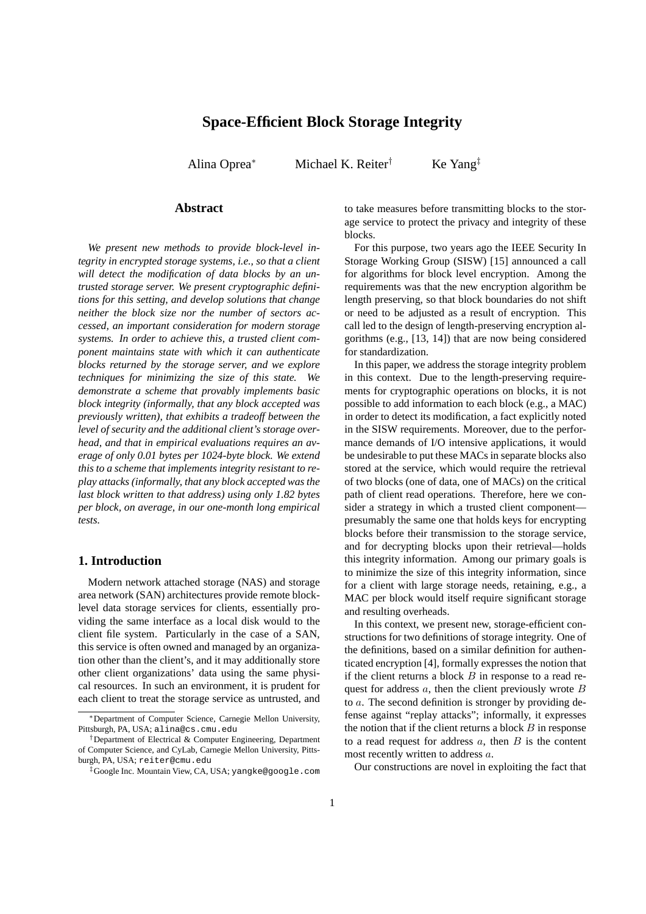# **Space-Efficient Block Storage Integrity**

Alina Oprea<sup>∗</sup> Michael K. Reiter<sup>†</sup> Ke Yang<sup>‡</sup>

# **Abstract**

*We present new methods to provide block-level integrity in encrypted storage systems, i.e., so that a client will detect the modification of data blocks by an untrusted storage server. We present cryptographic definitions for this setting, and develop solutions that change neither the block size nor the number of sectors accessed, an important consideration for modern storage systems. In order to achieve this, a trusted client component maintains state with which it can authenticate blocks returned by the storage server, and we explore techniques for minimizing the size of this state. We demonstrate a scheme that provably implements basic block integrity (informally, that any block accepted was previously written), that exhibits a tradeoff between the level of security and the additional client's storage overhead, and that in empirical evaluations requires an average of only 0.01 bytes per 1024-byte block. We extend this to a scheme that implements integrity resistant to replay attacks (informally, that any block accepted was the last block written to that address) using only 1.82 bytes per block, on average, in our one-month long empirical tests.*

### **1. Introduction**

Modern network attached storage (NAS) and storage area network (SAN) architectures provide remote blocklevel data storage services for clients, essentially providing the same interface as a local disk would to the client file system. Particularly in the case of a SAN, this service is often owned and managed by an organization other than the client's, and it may additionally store other client organizations' data using the same physical resources. In such an environment, it is prudent for each client to treat the storage service as untrusted, and

to take measures before transmitting blocks to the storage service to protect the privacy and integrity of these blocks.

For this purpose, two years ago the IEEE Security In Storage Working Group (SISW) [15] announced a call for algorithms for block level encryption. Among the requirements was that the new encryption algorithm be length preserving, so that block boundaries do not shift or need to be adjusted as a result of encryption. This call led to the design of length-preserving encryption algorithms (e.g., [13, 14]) that are now being considered for standardization.

In this paper, we address the storage integrity problem in this context. Due to the length-preserving requirements for cryptographic operations on blocks, it is not possible to add information to each block (e.g., a MAC) in order to detect its modification, a fact explicitly noted in the SISW requirements. Moreover, due to the performance demands of I/O intensive applications, it would be undesirable to put these MACs in separate blocks also stored at the service, which would require the retrieval of two blocks (one of data, one of MACs) on the critical path of client read operations. Therefore, here we consider a strategy in which a trusted client component presumably the same one that holds keys for encrypting blocks before their transmission to the storage service, and for decrypting blocks upon their retrieval—holds this integrity information. Among our primary goals is to minimize the size of this integrity information, since for a client with large storage needs, retaining, e.g., a MAC per block would itself require significant storage and resulting overheads.

In this context, we present new, storage-efficient constructions for two definitions of storage integrity. One of the definitions, based on a similar definition for authenticated encryption [4], formally expresses the notion that if the client returns a block  $B$  in response to a read request for address  $a$ , then the client previously wrote  $B$ to a. The second definition is stronger by providing defense against "replay attacks"; informally, it expresses the notion that if the client returns a block  $B$  in response to a read request for address  $a$ , then  $B$  is the content most recently written to address a.

Our constructions are novel in exploiting the fact that

<sup>∗</sup>Department of Computer Science, Carnegie Mellon University, Pittsburgh, PA, USA; alina@cs.cmu.edu

<sup>†</sup>Department of Electrical & Computer Engineering, Department of Computer Science, and CyLab, Carnegie Mellon University, Pittsburgh, PA, USA; reiter@cmu.edu

<sup>‡</sup>Google Inc. Mountain View, CA, USA; yangke@google.com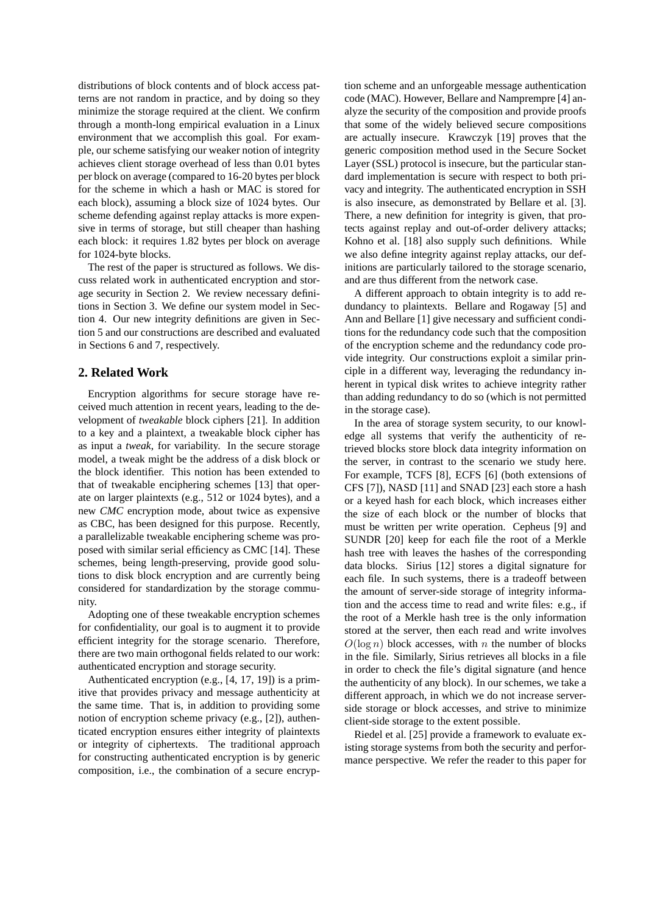distributions of block contents and of block access patterns are not random in practice, and by doing so they minimize the storage required at the client. We confirm through a month-long empirical evaluation in a Linux environment that we accomplish this goal. For example, our scheme satisfying our weaker notion of integrity achieves client storage overhead of less than 0.01 bytes per block on average (compared to 16-20 bytes per block for the scheme in which a hash or MAC is stored for each block), assuming a block size of 1024 bytes. Our scheme defending against replay attacks is more expensive in terms of storage, but still cheaper than hashing each block: it requires 1.82 bytes per block on average for 1024-byte blocks.

The rest of the paper is structured as follows. We discuss related work in authenticated encryption and storage security in Section 2. We review necessary definitions in Section 3. We define our system model in Section 4. Our new integrity definitions are given in Section 5 and our constructions are described and evaluated in Sections 6 and 7, respectively.

# **2. Related Work**

Encryption algorithms for secure storage have received much attention in recent years, leading to the development of *tweakable* block ciphers [21]. In addition to a key and a plaintext, a tweakable block cipher has as input a *tweak*, for variability. In the secure storage model, a tweak might be the address of a disk block or the block identifier. This notion has been extended to that of tweakable enciphering schemes [13] that operate on larger plaintexts (e.g., 512 or 1024 bytes), and a new *CMC* encryption mode, about twice as expensive as CBC, has been designed for this purpose. Recently, a parallelizable tweakable enciphering scheme was proposed with similar serial efficiency as CMC [14]. These schemes, being length-preserving, provide good solutions to disk block encryption and are currently being considered for standardization by the storage community.

Adopting one of these tweakable encryption schemes for confidentiality, our goal is to augment it to provide efficient integrity for the storage scenario. Therefore, there are two main orthogonal fields related to our work: authenticated encryption and storage security.

Authenticated encryption (e.g., [4, 17, 19]) is a primitive that provides privacy and message authenticity at the same time. That is, in addition to providing some notion of encryption scheme privacy (e.g., [2]), authenticated encryption ensures either integrity of plaintexts or integrity of ciphertexts. The traditional approach for constructing authenticated encryption is by generic composition, i.e., the combination of a secure encryption scheme and an unforgeable message authentication code (MAC). However, Bellare and Namprempre [4] analyze the security of the composition and provide proofs that some of the widely believed secure compositions are actually insecure. Krawczyk [19] proves that the generic composition method used in the Secure Socket Layer (SSL) protocol is insecure, but the particular standard implementation is secure with respect to both privacy and integrity. The authenticated encryption in SSH is also insecure, as demonstrated by Bellare et al. [3]. There, a new definition for integrity is given, that protects against replay and out-of-order delivery attacks; Kohno et al. [18] also supply such definitions. While we also define integrity against replay attacks, our definitions are particularly tailored to the storage scenario, and are thus different from the network case.

A different approach to obtain integrity is to add redundancy to plaintexts. Bellare and Rogaway [5] and Ann and Bellare [1] give necessary and sufficient conditions for the redundancy code such that the composition of the encryption scheme and the redundancy code provide integrity. Our constructions exploit a similar principle in a different way, leveraging the redundancy inherent in typical disk writes to achieve integrity rather than adding redundancy to do so (which is not permitted in the storage case).

In the area of storage system security, to our knowledge all systems that verify the authenticity of retrieved blocks store block data integrity information on the server, in contrast to the scenario we study here. For example, TCFS [8], ECFS [6] (both extensions of CFS [7]), NASD [11] and SNAD [23] each store a hash or a keyed hash for each block, which increases either the size of each block or the number of blocks that must be written per write operation. Cepheus [9] and SUNDR [20] keep for each file the root of a Merkle hash tree with leaves the hashes of the corresponding data blocks. Sirius [12] stores a digital signature for each file. In such systems, there is a tradeoff between the amount of server-side storage of integrity information and the access time to read and write files: e.g., if the root of a Merkle hash tree is the only information stored at the server, then each read and write involves  $O(\log n)$  block accesses, with n the number of blocks in the file. Similarly, Sirius retrieves all blocks in a file in order to check the file's digital signature (and hence the authenticity of any block). In our schemes, we take a different approach, in which we do not increase serverside storage or block accesses, and strive to minimize client-side storage to the extent possible.

Riedel et al. [25] provide a framework to evaluate existing storage systems from both the security and performance perspective. We refer the reader to this paper for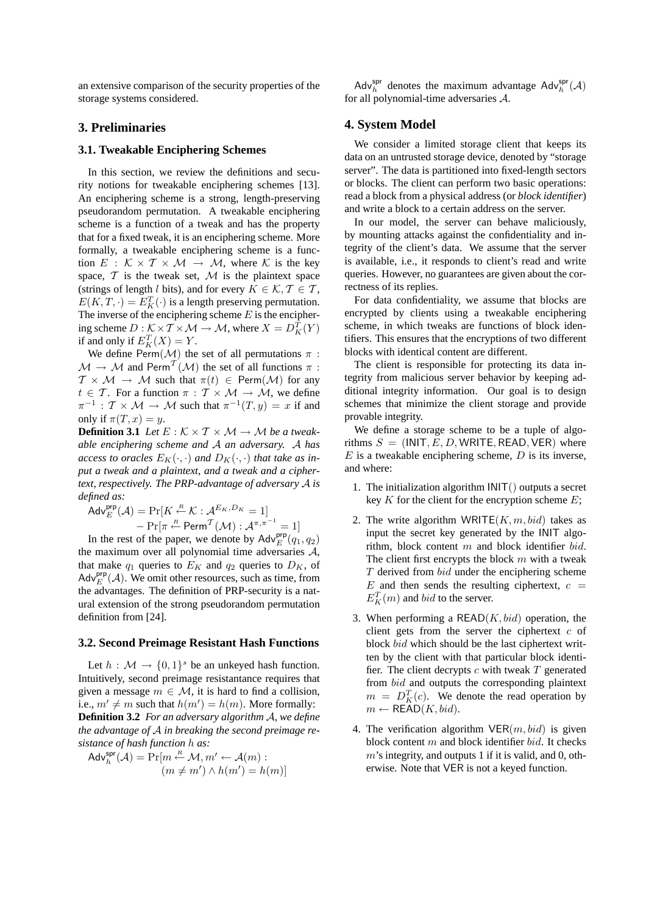an extensive comparison of the security properties of the storage systems considered.

# **3. Preliminaries**

### **3.1. Tweakable Enciphering Schemes**

In this section, we review the definitions and security notions for tweakable enciphering schemes [13]. An enciphering scheme is a strong, length-preserving pseudorandom permutation. A tweakable enciphering scheme is a function of a tweak and has the property that for a fixed tweak, it is an enciphering scheme. More formally, a tweakable enciphering scheme is a function  $E : \mathcal{K} \times \mathcal{T} \times \mathcal{M} \rightarrow \mathcal{M}$ , where  $\mathcal{K}$  is the key space,  $T$  is the tweak set,  $M$  is the plaintext space (strings of length l bits), and for every  $K \in \mathcal{K}, \mathcal{T} \in \mathcal{T}$ ,  $E(K, T, \cdot) = E_K^T(\cdot)$  is a length preserving permutation. The inverse of the enciphering scheme  $E$  is the enciphering scheme  $D : \mathcal{K} \times \mathcal{T} \times \mathcal{M} \to \mathcal{M}$ , where  $X = D_K^T(Y)$ if and only if  $E_K^T(X) = Y$ .

We define  $\text{Perm}(\mathcal{M})$  the set of all permutations  $\pi$ :  $\mathcal{M} \to \mathcal{M}$  and Perm<sup>T</sup> $(\mathcal{M})$  the set of all functions  $\pi$ :  $T \times \mathcal{M} \rightarrow \mathcal{M}$  such that  $\pi(t) \in \text{Perm}(\mathcal{M})$  for any  $t \in \mathcal{T}$ . For a function  $\pi : \mathcal{T} \times \mathcal{M} \rightarrow \mathcal{M}$ , we define  $\pi^{-1}$ :  $\mathcal{T} \times \mathcal{M} \to \mathcal{M}$  such that  $\pi^{-1}(T, y) = x$  if and only if  $\pi(T, x) = y$ .

**Definition 3.1** *Let*  $E : K \times T \times M \rightarrow M$  *be a tweakable enciphering scheme and* A *an adversary.* A *has access to oracles*  $E_K(\cdot, \cdot)$  *and*  $D_K(\cdot, \cdot)$  *that take as input a tweak and a plaintext, and a tweak and a ciphertext, respectively. The PRP-advantage of adversary* A *is defined as:*

$$
Adv_E^{\text{prp}}(\mathcal{A}) = \Pr[K \stackrel{\mathcal{R}}{\leftarrow} \mathcal{K} : \mathcal{A}^{E_K, D_K} = 1] \\
- \Pr[\pi \stackrel{\mathcal{R}}{\leftarrow} \text{Perm}^{\mathcal{T}}(\mathcal{M}) : \mathcal{A}^{\pi, \pi^{-1}} = 1]
$$

In the rest of the paper, we denote by  $\mathsf{Adv}_{E}^{\mathsf{prp}}(q_1, q_2)$ the maximum over all polynomial time adversaries  $A$ , that make  $q_1$  queries to  $E_K$  and  $q_2$  queries to  $D_K$ , of  $\mathsf{Adv}_{E}^{\mathsf{prp}}(\mathcal{A})$ . We omit other resources, such as time, from the advantages. The definition of PRP-security is a natural extension of the strong pseudorandom permutation definition from [24].

#### **3.2. Second Preimage Resistant Hash Functions**

Let  $h : \mathcal{M} \to \{0, 1\}^s$  be an unkeyed hash function. Intuitively, second preimage resistantance requires that given a message  $m \in \mathcal{M}$ , it is hard to find a collision, i.e.,  $m' \neq m$  such that  $h(m') = h(m)$ . More formally: **Definition 3.2** *For an adversary algorithm* A*, we define the advantage of* A *in breaking the second preimage resistance of hash function* h *as:*

$$
Adv_h^{\text{spr}}(\mathcal{A}) = \Pr[m \stackrel{R}{\leftarrow} \mathcal{M}, m' \leftarrow \mathcal{A}(m) : (m \neq m') \wedge h(m') = h(m)]
$$

Adv<sup>spr</sup> denotes the maximum advantage  $\text{Adv}_h^{\text{spr}}(\mathcal{A})$ for all polynomial-time adversaries A.

### **4. System Model**

We consider a limited storage client that keeps its data on an untrusted storage device, denoted by "storage server". The data is partitioned into fixed-length sectors or blocks. The client can perform two basic operations: read a block from a physical address (or *block identifier*) and write a block to a certain address on the server.

In our model, the server can behave maliciously, by mounting attacks against the confidentiality and integrity of the client's data. We assume that the server is available, i.e., it responds to client's read and write queries. However, no guarantees are given about the correctness of its replies.

For data confidentiality, we assume that blocks are encrypted by clients using a tweakable enciphering scheme, in which tweaks are functions of block identifiers. This ensures that the encryptions of two different blocks with identical content are different.

The client is responsible for protecting its data integrity from malicious server behavior by keeping additional integrity information. Our goal is to design schemes that minimize the client storage and provide provable integrity.

We define a storage scheme to be a tuple of algorithms  $S = (INIT, E, D, WRITE, READ, VER)$  where  $E$  is a tweakable enciphering scheme,  $D$  is its inverse, and where:

- 1. The initialization algorithm INIT() outputs a secret key  $K$  for the client for the encryption scheme  $E$ ;
- 2. The write algorithm WRITE $(K, m, bid)$  takes as input the secret key generated by the INIT algorithm, block content  $m$  and block identifier bid. The client first encrypts the block  $m$  with a tweak  $T$  derived from  $bid$  under the enciphering scheme  $E$  and then sends the resulting ciphertext,  $c =$  $E_K^T(m)$  and *bid* to the server.
- 3. When performing a  $READ(K, bid)$  operation, the client gets from the server the ciphertext  $c$  of block bid which should be the last ciphertext written by the client with that particular block identifier. The client decrypts  $c$  with tweak  $T$  generated from bid and outputs the corresponding plaintext  $m = D_K^T(c)$ . We denote the read operation by  $m \leftarrow \text{READ}(K, bid).$
- 4. The verification algorithm  $VER(m, bid)$  is given block content  $m$  and block identifier  $bid$ . It checks  $m$ 's integrity, and outputs 1 if it is valid, and 0, otherwise. Note that VER is not a keyed function.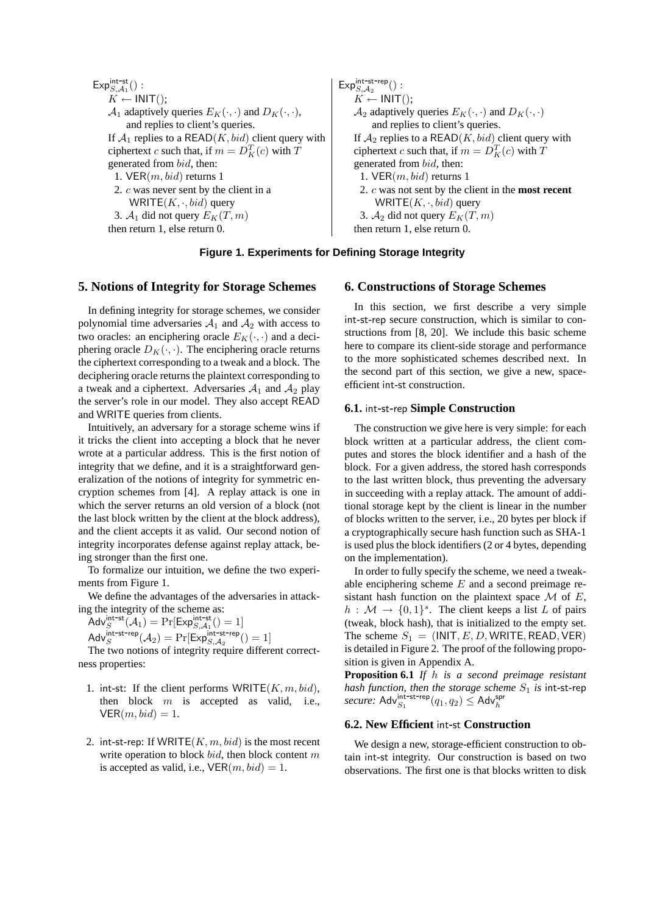$\mathsf{Exp}_{S,\mathcal{A}_1}^\mathsf{int-st}$  $\left( \begin{array}{cc} \vdots & \hspace{1.5cm} \text{Exp}^{\text{int-st-rep}}_{S,A_2} \end{array} \right) :$  $K \leftarrow \text{INIT}();$   $K \leftarrow \text{INIT}();$  $\mathcal{A}_1$  adaptively queries  $E_K(\cdot, \cdot)$  and  $D_K(\cdot, \cdot)$ ,  $\qquad \qquad \mathcal{A}_2$  adaptively queries  $E_K(\cdot, \cdot)$  and  $D_K(\cdot, \cdot)$ and replies to client's queries.  $\qquad \qquad$  and replies to client's queries. ciphertext c such that, if  $m = D_K^T(c)$  with T generated from bid, then: generated from bid, then: 1. VER $(m, bid)$  returns 1 1. VER $(m, bid)$  returns 1 WRITE( $K, \cdot, bid$ ) query WRITE( $K, \cdot, bid$ ) query 3.  $A_1$  did not query  $E_K(T, m)$  3.  $A_2$  did not query  $E_K(T, m)$ then return 1, else return 0. then return 1, else return 0.

If  $\mathcal{A}_1$  replies to a READ(K, bid) client query with  $\parallel$  If  $\mathcal{A}_2$  replies to a READ(K, bid) client query with  $K(F_K(c)$  with T ciphertext c such that, if  $m = D_K^T(c)$  with T 2. c was never sent by the client in a 2. c was not sent by the client in the **most recent**

### **Figure 1. Experiments for Defining Storage Integrity**

### **5. Notions of Integrity for Storage Schemes**

In defining integrity for storage schemes, we consider polynomial time adversaries  $A_1$  and  $A_2$  with access to two oracles: an enciphering oracle  $E_K(\cdot, \cdot)$  and a deciphering oracle  $D_K(\cdot, \cdot)$ . The enciphering oracle returns the ciphertext corresponding to a tweak and a block. The deciphering oracle returns the plaintext corresponding to a tweak and a ciphertext. Adversaries  $A_1$  and  $A_2$  play the server's role in our model. They also accept READ and WRITE queries from clients.

Intuitively, an adversary for a storage scheme wins if it tricks the client into accepting a block that he never wrote at a particular address. This is the first notion of integrity that we define, and it is a straightforward generalization of the notions of integrity for symmetric encryption schemes from [4]. A replay attack is one in which the server returns an old version of a block (not the last block written by the client at the block address), and the client accepts it as valid. Our second notion of integrity incorporates defense against replay attack, being stronger than the first one.

To formalize our intuition, we define the two experiments from Figure 1.

We define the advantages of the adversaries in attacking the integrity of the scheme as:

Adv<sup>int-st</sup> $(A_1)$  = Pr[Exp<sup>int-st</sup><sub>S, $A_1$ </sub>'() = 1]

 $\mathsf{Adv}^{\mathsf{int}\text{-}\mathsf{str}\text{-}\mathsf{rep}}_S(\mathcal{A}_2) = \Pr[\mathsf{Exp}^{\mathsf{int}\text{-}\mathsf{str}\text{-}\mathsf{rep}}_{S,\mathcal{A}_2}() = 1]$ 

The two notions of integrity require different correctness properties:

- 1. int-st: If the client performs  $WRITE(K, m, bid)$ , then block  $m$  is accepted as valid, i.e.,  $VER(m, bid) = 1.$
- 2. int-st-rep: If WRITE( $K, m, bid$ ) is the most recent write operation to block bid, then block content  $m$ is accepted as valid, i.e.,  $VER(m, bid) = 1$ .

#### **6. Constructions of Storage Schemes**

In this section, we first describe a very simple int-st-rep secure construction, which is similar to constructions from [8, 20]. We include this basic scheme here to compare its client-side storage and performance to the more sophisticated schemes described next. In the second part of this section, we give a new, spaceefficient int-st construction.

### **6.1.** int**-**st**-**rep **Simple Construction**

The construction we give here is very simple: for each block written at a particular address, the client computes and stores the block identifier and a hash of the block. For a given address, the stored hash corresponds to the last written block, thus preventing the adversary in succeeding with a replay attack. The amount of additional storage kept by the client is linear in the number of blocks written to the server, i.e., 20 bytes per block if a cryptographically secure hash function such as SHA-1 is used plus the block identifiers (2 or 4 bytes, depending on the implementation).

In order to fully specify the scheme, we need a tweakable enciphering scheme  $E$  and a second preimage resistant hash function on the plaintext space  $\mathcal M$  of  $E$ ,  $h : \mathcal{M} \to \{0,1\}^s$ . The client keeps a list L of pairs (tweak, block hash), that is initialized to the empty set. The scheme  $S_1 = (INIT, E, D, WRITE, READ, VER)$ is detailed in Figure 2. The proof of the following proposition is given in Appendix A.

**Proposition 6.1** *If* h *is a second preimage resistant hash function, then the storage scheme*  $S_1$  *is* int-st-rep secure:  $\mathsf{Adv}_{S_1}^{\mathsf{int-st-rep}}(q_1, q_2) \leq \mathsf{Adv}_h^{\mathsf{spr}}$ 

#### **6.2. New Efficient** int**-**st **Construction**

We design a new, storage-efficient construction to obtain int-st integrity. Our construction is based on two observations. The first one is that blocks written to disk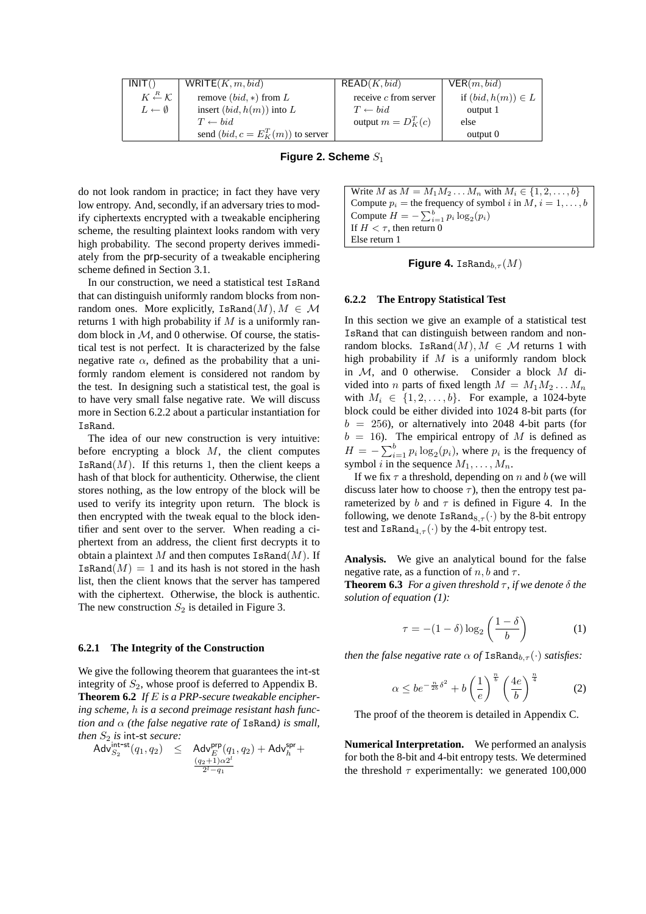| INT()                                    | WRITE $(K, m, bid)$                  | READ(K, bid)            | VER(m, bid)            |
|------------------------------------------|--------------------------------------|-------------------------|------------------------|
| $K \stackrel{R}{\leftarrow} \mathcal{K}$ | remove $(bid, *)$ from L             | receive $c$ from server | if $(bid, h(m)) \in L$ |
| $L \leftarrow \emptyset$                 | insert $(bid, h(m))$ into L          | $T \leftarrow bid$      | output 1               |
|                                          | $T \leftarrow bid$                   | output $m = D_K^T(c)$   | else                   |
|                                          | send $(bid, c = E_K^T(m))$ to server |                         | output 0               |

#### **Figure 2. Scheme**  $S_1$

do not look random in practice; in fact they have very low entropy. And, secondly, if an adversary tries to modify ciphertexts encrypted with a tweakable enciphering scheme, the resulting plaintext looks random with very high probability. The second property derives immediately from the prp-security of a tweakable enciphering scheme defined in Section 3.1.

In our construction, we need a statistical test IsRand that can distinguish uniformly random blocks from nonrandom ones. More explicitly, IsRand $(M), M \in \mathcal{M}$ returns 1 with high probability if  $M$  is a uniformly random block in  $M$ , and 0 otherwise. Of course, the statistical test is not perfect. It is characterized by the false negative rate  $\alpha$ , defined as the probability that a uniformly random element is considered not random by the test. In designing such a statistical test, the goal is to have very small false negative rate. We will discuss more in Section 6.2.2 about a particular instantiation for IsRand.

The idea of our new construction is very intuitive: before encrypting a block  $M$ , the client computes IsRand $(M)$ . If this returns 1, then the client keeps a hash of that block for authenticity. Otherwise, the client stores nothing, as the low entropy of the block will be used to verify its integrity upon return. The block is then encrypted with the tweak equal to the block identifier and sent over to the server. When reading a ciphertext from an address, the client first decrypts it to obtain a plaintext M and then computes  $\texttt{IsRand}(M)$ . If IsRand $(M) = 1$  and its hash is not stored in the hash list, then the client knows that the server has tampered with the ciphertext. Otherwise, the block is authentic. The new construction  $S_2$  is detailed in Figure 3.

#### **6.2.1 The Integrity of the Construction**

We give the following theorem that guarantees the int-st integrity of  $S_2$ , whose proof is deferred to Appendix B. **Theorem 6.2** *If* E *is a PRP-secure tweakable enciphering scheme,* h *is a second preimage resistant hash function and* α *(the false negative rate of* IsRand*) is small, then*  $S_2$  *is* int-st *secure:*<br>Adv $\frac{\text{int-st}}{S_2}(q_1, q_2) \leq$ 

$$
\mathsf{Adv}_{S_2}^{\mathsf{int-st}}(q_1, q_2) \quad \leq \quad \mathsf{Adv}_{E}^{\mathsf{prp}}(q_1, q_2) + \mathsf{Adv}_{h}^{\mathsf{spr}} + \newline \tfrac{(q_2 + 1)\alpha 2^l}{2^l - q_1} \\
$$

Write *M* as  $M = M_1 M_2 ... M_n$  with  $M_i \in \{1, 2, ..., b\}$ Compute  $p_i$  = the frequency of symbol i in M,  $i = 1, \ldots, b$ Compute  $H = -\sum_{i=1}^{b} p_i \log_2(p_i)$ If  $H < \tau$ , then return 0 Else return 1

**Figure 4.** IsRand<sub>b,τ</sub> (M)

#### **6.2.2 The Entropy Statistical Test**

In this section we give an example of a statistical test IsRand that can distinguish between random and nonrandom blocks. IsRand $(M), M \in \mathcal{M}$  returns 1 with high probability if  $M$  is a uniformly random block in  $M$ , and 0 otherwise. Consider a block  $M$  divided into *n* parts of fixed length  $M = M_1 M_2 \dots M_n$ with  $M_i \in \{1, 2, \ldots, b\}$ . For example, a 1024-byte block could be either divided into 1024 8-bit parts (for  $b = 256$ ), or alternatively into 2048 4-bit parts (for  $b = 16$ ). The empirical entropy of M is defined as  $H = -\sum_{i=1}^{b} p_i \log_2(p_i)$ , where  $p_i$  is the frequency of symbol i in the sequence  $M_1, \ldots, M_n$ .

If we fix  $\tau$  a threshold, depending on n and b (we will discuss later how to choose  $\tau$ ), then the entropy test parameterized by b and  $\tau$  is defined in Figure 4. In the following, we denote  $\text{IsRand}_{8,\tau}(\cdot)$  by the 8-bit entropy test and  $\text{IsRand}_{4,\tau}(\cdot)$  by the 4-bit entropy test.

**Analysis.** We give an analytical bound for the false negative rate, as a function of  $n, b$  and  $\tau$ .

**Theorem 6.3** *For a given threshold*  $\tau$ *, if we denote*  $\delta$  *the solution of equation (1):*

$$
\tau = -(1 - \delta) \log_2 \left( \frac{1 - \delta}{b} \right) \tag{1}
$$

*then the false negative rate*  $\alpha$  *of* IsRand<sub>b  $\tau$ </sub>( $\cdot$ ) *satisfies:* 

$$
\alpha \le be^{-\frac{n}{2b}\delta^2} + b\left(\frac{1}{e}\right)^{\frac{n}{b}} \left(\frac{4e}{b}\right)^{\frac{n}{4}} \tag{2}
$$

The proof of the theorem is detailed in Appendix C.

**Numerical Interpretation.** We performed an analysis for both the 8-bit and 4-bit entropy tests. We determined the threshold  $\tau$  experimentally: we generated 100,000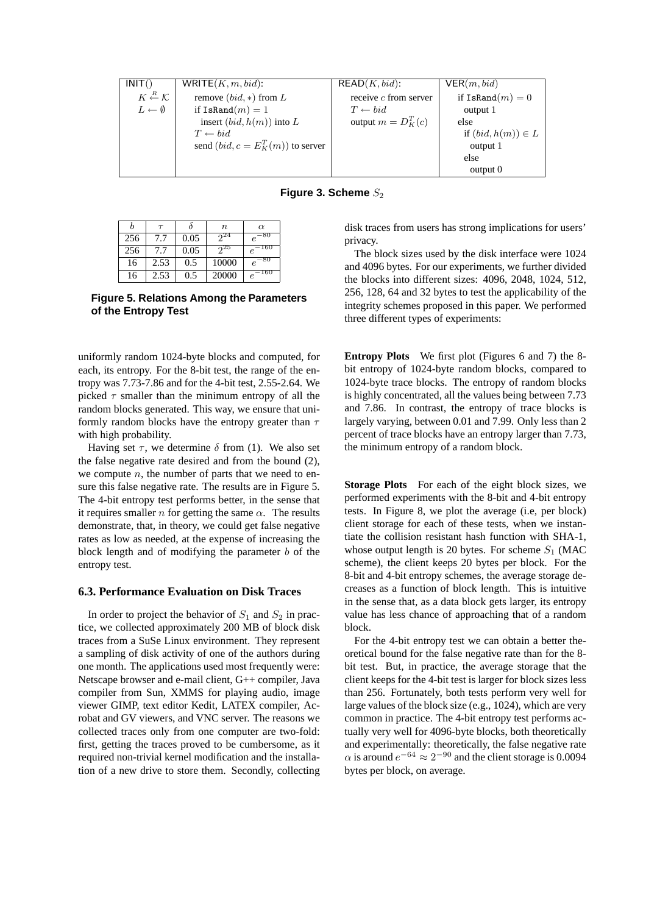| INT()                                    | WRITE $(K, m, bid)$ :                | READ(K,bid):            | VER(m,bid)             |
|------------------------------------------|--------------------------------------|-------------------------|------------------------|
| $K \stackrel{R}{\leftarrow} \mathcal{K}$ | remove $(bid, *)$ from L             | receive $c$ from server | if IsRand $(m)=0$      |
| $L \leftarrow \emptyset$                 | if IsRand $(m) = 1$                  | $T \leftarrow bid$      | output 1               |
|                                          | insert $(bid, h(m))$ into L          | output $m = D_K^T(c)$   | else                   |
|                                          | $T \leftarrow bid$                   |                         | if $(bid, h(m)) \in L$ |
|                                          | send $(bid, c = E_K^T(m))$ to server |                         | output 1               |
|                                          |                                      |                         | else                   |
|                                          |                                      |                         | output 0               |

**Figure 3. Scheme**  $S_2$ 

|     | $\tau$ |      | $\boldsymbol{n}$ | $\alpha$               |
|-----|--------|------|------------------|------------------------|
| 256 | 7.7    | 0.05 | $2^{24}$         | -80<br>$\epsilon$      |
| 256 | 7.7    | 0.05 | 25               | 160<br>$\epsilon$      |
| 16  | 2.53   | 0.5  | 10000            | $^{-80}$<br>$\epsilon$ |
| 16  | 2.53   | 0.5  | 20000            | 160<br>e               |

**Figure 5. Relations Among the Parameters of the Entropy Test**

uniformly random 1024-byte blocks and computed, for each, its entropy. For the 8-bit test, the range of the entropy was 7.73-7.86 and for the 4-bit test, 2.55-2.64. We picked  $\tau$  smaller than the minimum entropy of all the random blocks generated. This way, we ensure that uniformly random blocks have the entropy greater than  $\tau$ with high probability.

Having set  $\tau$ , we determine  $\delta$  from (1). We also set the false negative rate desired and from the bound (2), we compute  $n$ , the number of parts that we need to ensure this false negative rate. The results are in Figure 5. The 4-bit entropy test performs better, in the sense that it requires smaller *n* for getting the same  $\alpha$ . The results demonstrate, that, in theory, we could get false negative rates as low as needed, at the expense of increasing the block length and of modifying the parameter  $b$  of the entropy test.

### **6.3. Performance Evaluation on Disk Traces**

In order to project the behavior of  $S_1$  and  $S_2$  in practice, we collected approximately 200 MB of block disk traces from a SuSe Linux environment. They represent a sampling of disk activity of one of the authors during one month. The applications used most frequently were: Netscape browser and e-mail client, G++ compiler, Java compiler from Sun, XMMS for playing audio, image viewer GIMP, text editor Kedit, LATEX compiler, Acrobat and GV viewers, and VNC server. The reasons we collected traces only from one computer are two-fold: first, getting the traces proved to be cumbersome, as it required non-trivial kernel modification and the installation of a new drive to store them. Secondly, collecting

disk traces from users has strong implications for users' privacy.

The block sizes used by the disk interface were 1024 and 4096 bytes. For our experiments, we further divided the blocks into different sizes: 4096, 2048, 1024, 512, 256, 128, 64 and 32 bytes to test the applicability of the integrity schemes proposed in this paper. We performed three different types of experiments:

**Entropy Plots** We first plot (Figures 6 and 7) the 8 bit entropy of 1024-byte random blocks, compared to 1024-byte trace blocks. The entropy of random blocks is highly concentrated, all the values being between 7.73 and 7.86. In contrast, the entropy of trace blocks is largely varying, between 0.01 and 7.99. Only less than 2 percent of trace blocks have an entropy larger than 7.73, the minimum entropy of a random block.

**Storage Plots** For each of the eight block sizes, we performed experiments with the 8-bit and 4-bit entropy tests. In Figure 8, we plot the average (i.e, per block) client storage for each of these tests, when we instantiate the collision resistant hash function with SHA-1, whose output length is 20 bytes. For scheme  $S_1$  (MAC scheme), the client keeps 20 bytes per block. For the 8-bit and 4-bit entropy schemes, the average storage decreases as a function of block length. This is intuitive in the sense that, as a data block gets larger, its entropy value has less chance of approaching that of a random block.

For the 4-bit entropy test we can obtain a better theoretical bound for the false negative rate than for the 8 bit test. But, in practice, the average storage that the client keeps for the 4-bit test is larger for block sizes less than 256. Fortunately, both tests perform very well for large values of the block size (e.g., 1024), which are very common in practice. The 4-bit entropy test performs actually very well for 4096-byte blocks, both theoretically and experimentally: theoretically, the false negative rate  $\alpha$  is around  $e^{-64} \approx 2^{-90}$  and the client storage is 0.0094 bytes per block, on average.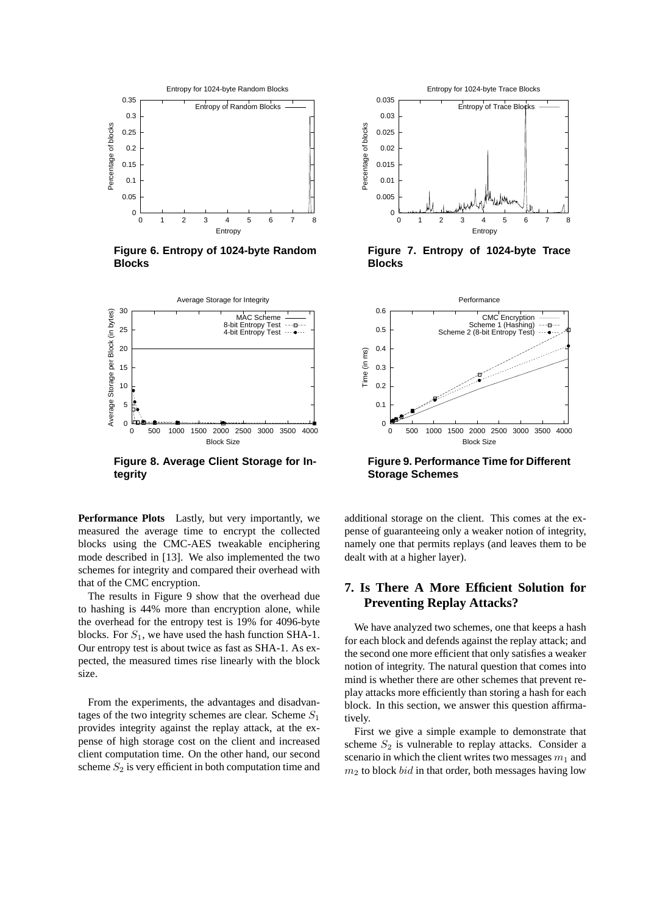

**Figure 6. Entropy of 1024-byte Random Blocks**



**Figure 8. Average Client Storage for Integrity**

**Performance Plots** Lastly, but very importantly, we measured the average time to encrypt the collected blocks using the CMC-AES tweakable enciphering mode described in [13]. We also implemented the two schemes for integrity and compared their overhead with that of the CMC encryption.

The results in Figure 9 show that the overhead due to hashing is 44% more than encryption alone, while the overhead for the entropy test is 19% for 4096-byte blocks. For  $S_1$ , we have used the hash function SHA-1. Our entropy test is about twice as fast as SHA-1. As expected, the measured times rise linearly with the block size.

From the experiments, the advantages and disadvantages of the two integrity schemes are clear. Scheme  $S_1$ provides integrity against the replay attack, at the expense of high storage cost on the client and increased client computation time. On the other hand, our second scheme  $S_2$  is very efficient in both computation time and



**Figure 7. Entropy of 1024-byte Trace Blocks**



**Figure 9. Performance Time for Different Storage Schemes**

additional storage on the client. This comes at the expense of guaranteeing only a weaker notion of integrity, namely one that permits replays (and leaves them to be dealt with at a higher layer).

# **7. Is There A More Efficient Solution for Preventing Replay Attacks?**

We have analyzed two schemes, one that keeps a hash for each block and defends against the replay attack; and the second one more efficient that only satisfies a weaker notion of integrity. The natural question that comes into mind is whether there are other schemes that prevent replay attacks more efficiently than storing a hash for each block. In this section, we answer this question affirmatively.

First we give a simple example to demonstrate that scheme  $S_2$  is vulnerable to replay attacks. Consider a scenario in which the client writes two messages  $m_1$  and  $m<sub>2</sub>$  to block *bid* in that order, both messages having low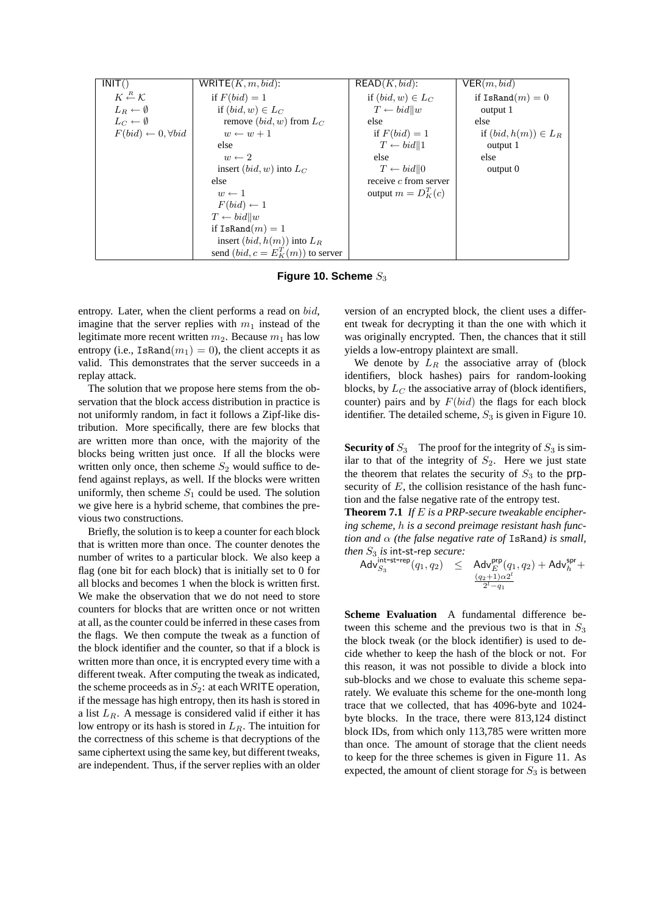| INT()                                    | WRITE $(K, m, bid)$ :                | READ(K,bid):            | VER(m, bid)              |
|------------------------------------------|--------------------------------------|-------------------------|--------------------------|
| $K \stackrel{R}{\leftarrow} \mathcal{K}$ | if $F(bid) = 1$                      | if $(bid, w) \in L_C$   | if IsRand $(m)=0$        |
| $L_B \leftarrow \emptyset$               | if $(bid, w) \in L_C$                | $T \leftarrow bid  w$   | output 1                 |
| $L_C \leftarrow \emptyset$               | remove $(bid, w)$ from $L_C$         | else                    | else                     |
| $F(bid) \leftarrow 0, \forall bid$       | $w \leftarrow w + 1$                 | if $F(bid) = 1$         | if $(bid, h(m)) \in L_R$ |
|                                          | else                                 | $T \leftarrow bid  1$   | output 1                 |
|                                          | $w \leftarrow 2$                     | else                    | else                     |
|                                          | insert $(bid, w)$ into $L_C$         | $T \leftarrow bid  0$   | output 0                 |
|                                          | else                                 | receive $c$ from server |                          |
|                                          | $w \leftarrow 1$                     | output $m = D_K^T(c)$   |                          |
|                                          | $F(bid) \leftarrow 1$                |                         |                          |
|                                          | $T \leftarrow bid  w$                |                         |                          |
|                                          | if IsRand $(m)=1$                    |                         |                          |
|                                          | insert $(bid, h(m))$ into $L_R$      |                         |                          |
|                                          | send $(bid, c = E_K^T(m))$ to server |                         |                          |

Figure 10. Scheme  $S_3$ 

entropy. Later, when the client performs a read on bid, imagine that the server replies with  $m_1$  instead of the legitimate more recent written  $m_2$ . Because  $m_1$  has low entropy (i.e., IsRand $(m_1) = 0$ ), the client accepts it as valid. This demonstrates that the server succeeds in a replay attack.

The solution that we propose here stems from the observation that the block access distribution in practice is not uniformly random, in fact it follows a Zipf-like distribution. More specifically, there are few blocks that are written more than once, with the majority of the blocks being written just once. If all the blocks were written only once, then scheme  $S_2$  would suffice to defend against replays, as well. If the blocks were written uniformly, then scheme  $S_1$  could be used. The solution we give here is a hybrid scheme, that combines the previous two constructions.

Briefly, the solution is to keep a counter for each block that is written more than once. The counter denotes the number of writes to a particular block. We also keep a flag (one bit for each block) that is initially set to 0 for all blocks and becomes 1 when the block is written first. We make the observation that we do not need to store counters for blocks that are written once or not written at all, as the counter could be inferred in these cases from the flags. We then compute the tweak as a function of the block identifier and the counter, so that if a block is written more than once, it is encrypted every time with a different tweak. After computing the tweak as indicated, the scheme proceeds as in  $S_2$ : at each WRITE operation, if the message has high entropy, then its hash is stored in a list  $L_R$ . A message is considered valid if either it has low entropy or its hash is stored in  $L_R$ . The intuition for the correctness of this scheme is that decryptions of the same ciphertext using the same key, but different tweaks, are independent. Thus, if the server replies with an older

version of an encrypted block, the client uses a different tweak for decrypting it than the one with which it was originally encrypted. Then, the chances that it still yields a low-entropy plaintext are small.

We denote by  $L_R$  the associative array of (block identifiers, block hashes) pairs for random-looking blocks, by  $L_C$  the associative array of (block identifiers, counter) pairs and by  $F(bid)$  the flags for each block identifier. The detailed scheme,  $S_3$  is given in Figure 10.

**Security of**  $S_3$  The proof for the integrity of  $S_3$  is similar to that of the integrity of  $S_2$ . Here we just state the theorem that relates the security of  $S_3$  to the prpsecurity of  $E$ , the collision resistance of the hash function and the false negative rate of the entropy test.

**Theorem 7.1** *If* E *is a PRP-secure tweakable enciphering scheme,* h *is a second preimage resistant hash function and* α *(the false negative rate of* IsRand*) is small,*

$$
\begin{array}{rcl}\textit{then } S_3 \textit{ is int-st-rep} \textit{ secure:}\\ \textit{Adv}_{S_3}^{\textit{int-st-rep}}(q_1, q_2) & \leq & \textit{Adv}_{E}^{\textit{prp}}(q_1, q_2) + \textit{Adv}_{h}^{\textit{spr}} +\\ \frac{(q_2+1)\alpha 2^l}{2^l-q_1} \end{array}
$$

**Scheme Evaluation** A fundamental difference between this scheme and the previous two is that in  $S_3$ the block tweak (or the block identifier) is used to decide whether to keep the hash of the block or not. For this reason, it was not possible to divide a block into sub-blocks and we chose to evaluate this scheme separately. We evaluate this scheme for the one-month long trace that we collected, that has 4096-byte and 1024 byte blocks. In the trace, there were 813,124 distinct block IDs, from which only 113,785 were written more than once. The amount of storage that the client needs to keep for the three schemes is given in Figure 11. As expected, the amount of client storage for  $S_3$  is between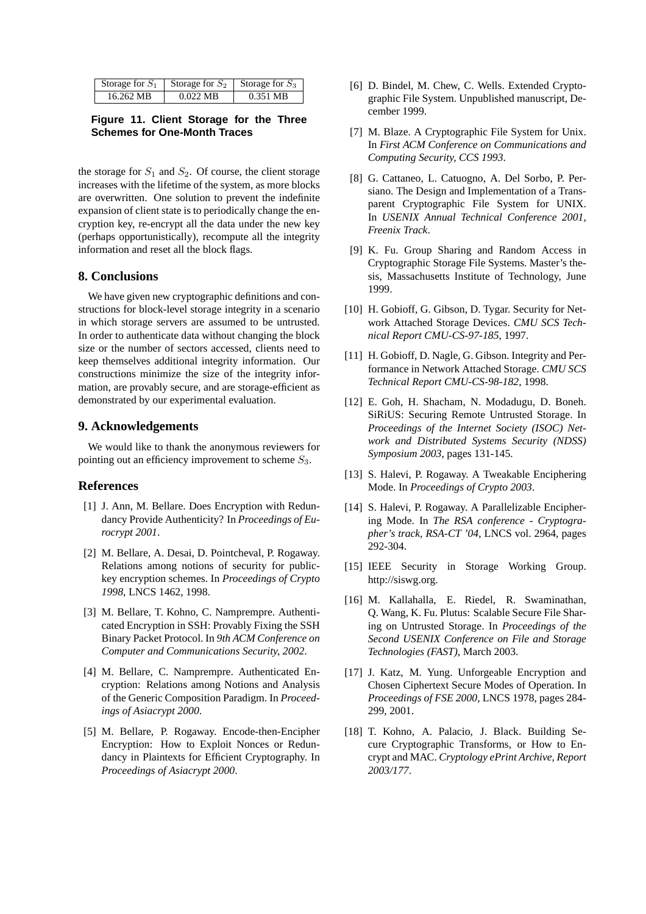| Storage for $S_1$ | Storage for $S_2$ | Storage for $S_3$ |
|-------------------|-------------------|-------------------|
| 16.262 MB         | $0.022$ MB        | $0.351$ MB        |

### **Figure 11. Client Storage for the Three Schemes for One-Month Traces**

the storage for  $S_1$  and  $S_2$ . Of course, the client storage increases with the lifetime of the system, as more blocks are overwritten. One solution to prevent the indefinite expansion of client state is to periodically change the encryption key, re-encrypt all the data under the new key (perhaps opportunistically), recompute all the integrity information and reset all the block flags.

# **8. Conclusions**

We have given new cryptographic definitions and constructions for block-level storage integrity in a scenario in which storage servers are assumed to be untrusted. In order to authenticate data without changing the block size or the number of sectors accessed, clients need to keep themselves additional integrity information. Our constructions minimize the size of the integrity information, are provably secure, and are storage-efficient as demonstrated by our experimental evaluation.

## **9. Acknowledgements**

We would like to thank the anonymous reviewers for pointing out an efficiency improvement to scheme  $S_3$ .

### **References**

- [1] J. Ann, M. Bellare. Does Encryption with Redundancy Provide Authenticity? In *Proceedings of Eurocrypt 2001*.
- [2] M. Bellare, A. Desai, D. Pointcheval, P. Rogaway. Relations among notions of security for publickey encryption schemes. In *Proceedings of Crypto 1998*, LNCS 1462, 1998.
- [3] M. Bellare, T. Kohno, C. Namprempre. Authenticated Encryption in SSH: Provably Fixing the SSH Binary Packet Protocol. In *9th ACM Conference on Computer and Communications Security, 2002*.
- [4] M. Bellare, C. Namprempre. Authenticated Encryption: Relations among Notions and Analysis of the Generic Composition Paradigm. In *Proceedings of Asiacrypt 2000*.
- [5] M. Bellare, P. Rogaway. Encode-then-Encipher Encryption: How to Exploit Nonces or Redundancy in Plaintexts for Efficient Cryptography. In *Proceedings of Asiacrypt 2000*.
- [6] D. Bindel, M. Chew, C. Wells. Extended Cryptographic File System. Unpublished manuscript, December 1999.
- [7] M. Blaze. A Cryptographic File System for Unix. In *First ACM Conference on Communications and Computing Security, CCS 1993*.
- [8] G. Cattaneo, L. Catuogno, A. Del Sorbo, P. Persiano. The Design and Implementation of a Transparent Cryptographic File System for UNIX. In *USENIX Annual Technical Conference 2001, Freenix Track*.
- [9] K. Fu. Group Sharing and Random Access in Cryptographic Storage File Systems. Master's thesis, Massachusetts Institute of Technology, June 1999.
- [10] H. Gobioff, G. Gibson, D. Tygar. Security for Network Attached Storage Devices. *CMU SCS Technical Report CMU-CS-97-185*, 1997.
- [11] H. Gobioff, D. Nagle, G. Gibson. Integrity and Performance in Network Attached Storage. *CMU SCS Technical Report CMU-CS-98-182*, 1998.
- [12] E. Goh, H. Shacham, N. Modadugu, D. Boneh. SiRiUS: Securing Remote Untrusted Storage. In *Proceedings of the Internet Society (ISOC) Network and Distributed Systems Security (NDSS) Symposium 2003*, pages 131-145.
- [13] S. Halevi, P. Rogaway. A Tweakable Enciphering Mode. In *Proceedings of Crypto 2003*.
- [14] S. Halevi, P. Rogaway. A Parallelizable Enciphering Mode. In *The RSA conference - Cryptographer's track, RSA-CT '04*, LNCS vol. 2964, pages 292-304.
- [15] IEEE Security in Storage Working Group. http://siswg.org.
- [16] M. Kallahalla, E. Riedel, R. Swaminathan, Q. Wang, K. Fu. Plutus: Scalable Secure File Sharing on Untrusted Storage. In *Proceedings of the Second USENIX Conference on File and Storage Technologies (FAST)*, March 2003.
- [17] J. Katz, M. Yung. Unforgeable Encryption and Chosen Ciphertext Secure Modes of Operation. In *Proceedings of FSE 2000*, LNCS 1978, pages 284- 299, 2001.
- [18] T. Kohno, A. Palacio, J. Black. Building Secure Cryptographic Transforms, or How to Encrypt and MAC. *Cryptology ePrint Archive, Report 2003/177*.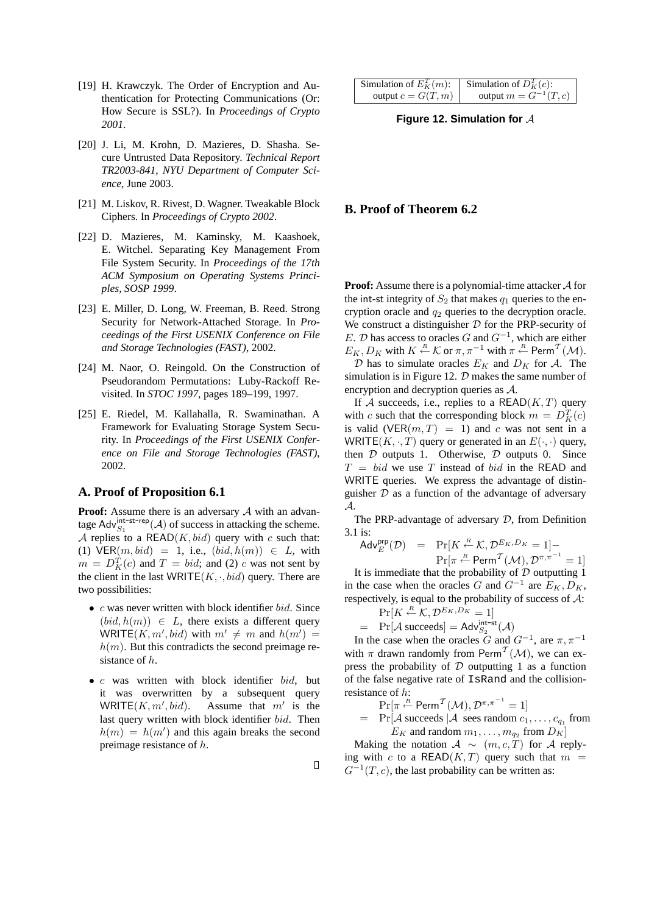- [19] H. Krawczyk. The Order of Encryption and Authentication for Protecting Communications (Or: How Secure is SSL?). In *Proceedings of Crypto 2001*.
- [20] J. Li, M. Krohn, D. Mazieres, D. Shasha. Secure Untrusted Data Repository. *Technical Report TR2003-841, NYU Department of Computer Science*, June 2003.
- [21] M. Liskov, R. Rivest, D. Wagner. Tweakable Block Ciphers. In *Proceedings of Crypto 2002*.
- [22] D. Mazieres, M. Kaminsky, M. Kaashoek, E. Witchel. Separating Key Management From File System Security. In *Proceedings of the 17th ACM Symposium on Operating Systems Principles, SOSP 1999*.
- [23] E. Miller, D. Long, W. Freeman, B. Reed. Strong Security for Network-Attached Storage. In *Proceedings of the First USENIX Conference on File and Storage Technologies (FAST)*, 2002.
- [24] M. Naor, O. Reingold. On the Construction of Pseudorandom Permutations: Luby-Rackoff Revisited. In *STOC 1997*, pages 189–199, 1997.
- [25] E. Riedel, M. Kallahalla, R. Swaminathan. A Framework for Evaluating Storage System Security. In *Proceedings of the First USENIX Conference on File and Storage Technologies (FAST)*, 2002.

### **A. Proof of Proposition 6.1**

**Proof:** Assume there is an adversary A with an advantage Adv $_{S_1}^{\text{int-st-rep}}(\mathcal{A})$  of success in attacking the scheme. A replies to a READ $(K, bid)$  query with c such that: (1)  $VER(m, bid) = 1$ , i.e.,  $(bid, h(m)) \in L$ , with  $m = D_K^T(c)$  and  $T = bid$ ; and (2) c was not sent by the client in the last WRITE( $K, \cdot, bid$ ) query. There are two possibilities:

- $c$  was never written with block identifier  $bid.$  Since  $(bid, h(m)) \in L$ , there exists a different query WRITE(K, m', bid) with  $m' \neq m$  and  $h(m') =$  $h(m)$ . But this contradicts the second preimage resistance of h.
- c was written with block identifier bid, but it was overwritten by a subsequent query WRITE $(K, m', bid)$ .  $, bid$ ). Assume that  $m'$  is the last query written with block identifier bid. Then  $h(m) = h(m')$  and this again breaks the second preimage resistance of h.

 $\Box$ 

| Simulation of $E_K^T(m)$ : | Simulation of $D_K^T(c)$ : |
|----------------------------|----------------------------|
| output $c = G(T, m)$       | output $m = G^{-1}(T, c)$  |

**Figure 12. Simulation for** A

# **B. Proof of Theorem 6.2**

**Proof:** Assume there is a polynomial-time attacker A for the int-st integrity of  $S_2$  that makes  $q_1$  queries to the encryption oracle and  $q_2$  queries to the decryption oracle. We construct a distinguisher  $D$  for the PRP-security of E. D has access to oracles G and  $G^{-1}$ , which are either  $E_K, D_K$  with  $K \stackrel{R}{\leftarrow} \mathcal{K}$  or  $\pi, \pi^{-1}$  with  $\pi \stackrel{R}{\leftarrow}$  Perm<sup>T</sup> (M).

D has to simulate oracles  $E_K$  and  $D_K$  for A. The simulation is in Figure 12.  $D$  makes the same number of encryption and decryption queries as A.

If A succeeds, i.e., replies to a READ $(K, T)$  query with c such that the corresponding block  $m = D_K^T(c)$ is valid (VER $(m, T) = 1$ ) and c was not sent in a WRITE( $K, \cdot, T$ ) query or generated in an  $E(\cdot, \cdot)$  query, then  $D$  outputs 1. Otherwise,  $D$  outputs 0. Since  $T = bid$  we use T instead of bid in the READ and WRITE queries. We express the advantage of distinguisher  $D$  as a function of the advantage of adversary A.

The PRP-advantage of adversary D, from Definition 3.1 is:

$$
\mathsf{Adv}_{E}^{\mathsf{prp}}(\mathcal{D}) = \Pr[K \stackrel{R}{\leftarrow} \mathcal{K}, \mathcal{D}^{E_K, D_K} = 1] - \Pr[\pi \stackrel{R}{\leftarrow} \mathsf{Perm}^T(\mathcal{M}), \mathcal{D}^{\pi, \pi^{-1}} = 1]
$$

It is immediate that the probability of  $D$  outputting 1 in the case when the oracles G and  $G^{-1}$  are  $E_K, D_K$ , respectively, is equal to the probability of success of  $A$ :

$$
\Pr[K \stackrel{R}{\leftarrow} \mathcal{K}, \mathcal{D}^{E_K, D_K} = 1]
$$

 $= Pr[\mathcal{A} \text{ succeeds}] = \mathsf{Adv}_{S_2}^{\text{int-st}}(\mathcal{A})$ 

In the case when the oracles G and  $G^{-1}$ , are  $\pi, \pi^{-1}$ with  $\pi$  drawn randomly from Perm<sup>T</sup>( $\mathcal{M}$ ), we can express the probability of  $D$  outputting 1 as a function of the false negative rate of IsRand and the collisionresistance of h:

$$
\Pr[\pi \stackrel{\scriptscriptstyle R}{\leftarrow} \mathsf{Perm}^{\mathcal T}(\mathcal M), \mathcal D^{\pi, \pi^{-1}} = 1]
$$

 $=$  Pr[A succeeds |A sees random  $c_1, \ldots, c_{q_1}$  from  $E_K$  and random  $m_1, \ldots, m_{q_2}$  from  $D_K$ 

Making the notation  $A \sim (m, c, T)$  for A replying with c to a READ( $K, T$ ) query such that  $m =$  $G^{-1}(T, c)$ , the last probability can be written as: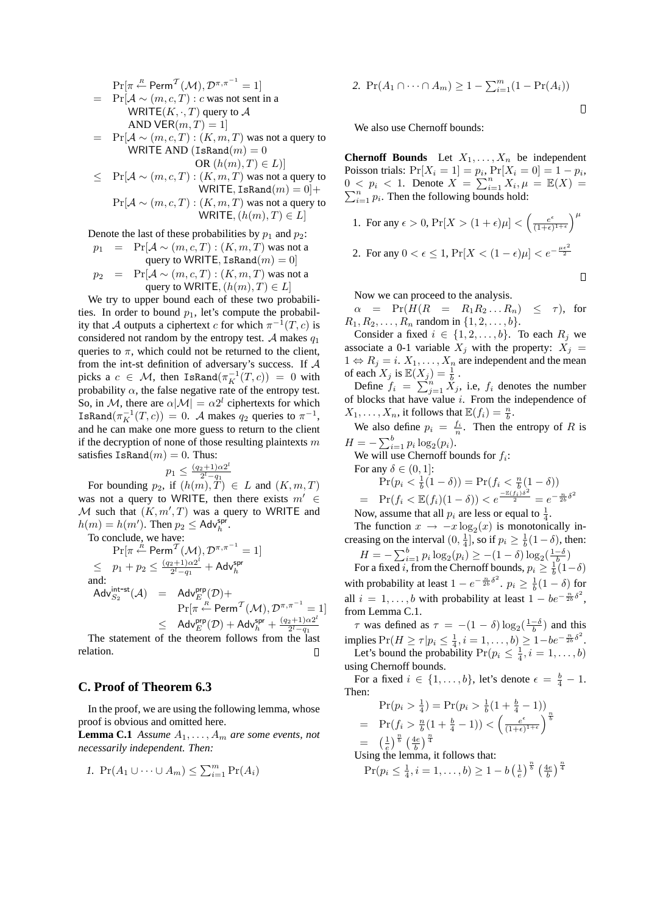$$
\Pr[\pi \stackrel{R}{\sim} \text{Perm}^T(\mathcal{M}), \mathcal{D}^{\pi, \pi^{-1}} = 1]
$$
\n
$$
= \Pr[\mathcal{A} \sim (m, c, T) : c \text{ was not sent in a\n WRTTE}(K, \cdot, T) \text{ query to } \mathcal{A}
$$
\n
$$
\text{AND VER}(m, T) = 1]
$$
\n
$$
= \Pr[\mathcal{A} \sim (m, c, T) : (K, m, T) \text{ was not a query to\n WRTTE AND (IsRand(m) = 0\n OR (h(m), T) \in L)]
$$
\n
$$
\leq \Pr[\mathcal{A} \sim (m, c, T) : (K, m, T) \text{ was not a query to\n WRTTE, IsRand(m) = 0] +
$$
\n
$$
\Pr[\mathcal{A} \sim (m, c, T) : (K, m, T) \text{ was not a query to\n WRTTE}, (h(m), T) \in L]
$$

Denote the last of these probabilities by  $p_1$  and  $p_2$ :

$$
p_1 = \Pr[\mathcal{A} \sim (m, c, T) : (K, m, T) \text{ was not a}
$$
\n
$$
\text{query to WRITE}, \text{IsRand}(m) = 0]
$$
\n
$$
p_2 = \Pr[\mathcal{A} \sim (m, c, T) : (K, m, T) \text{ was not a}
$$
\n
$$
\text{query to WRITE}, (h(m), T) \in L]
$$

We try to upper bound each of these two probabilities. In order to bound  $p_1$ , let's compute the probability that A outputs a ciphertext c for which  $\pi^{-1}(T, c)$  is considered not random by the entropy test. A makes  $q_1$ queries to  $\pi$ , which could not be returned to the client, from the int-st definition of adversary's success. If A picks a  $c \in \mathcal{M}$ , then IsRand $(\pi_K^{-1}(T,c)) = 0$  with probability  $\alpha$ , the false negative rate of the entropy test. So, in M, there are  $\alpha|M| = \alpha 2^l$  ciphertexts for which IsRand $(\pi_K^{-1}(T,c)) = 0$ . A makes  $q_2$  queries to  $\pi^{-1}$ , and he can make one more guess to return to the client if the decryption of none of those resulting plaintexts  $m$ satisfies  $\text{IsRand}(m) = 0$ . Thus:

$$
p_1 \le \frac{(q_2+1)\alpha 2^l}{2^l - q_1}
$$

For bounding  $p_2$ , if  $(h(m), T) \in L$  and  $(K, m, T)$ was not a query to WRITE, then there exists  $m' \in$ M such that  $(K, m', T)$  was a query to WRITE and  $h(m) = h(m')$ . Then  $p_2 \leq \text{Adv}_{h}^{\text{spr}}$ .

To conclude, we have:

$$
\Pr[\pi \stackrel{\hat{\kappa}}{\leftarrow} \text{Perm}^{\mathcal{T}}(\mathcal{M}), \mathcal{D}^{\pi, \pi^{-1}} = 1] \n\leq p_1 + p_2 \leq \frac{(q_2 + 1)\alpha 2^l}{2^l - q_1} + \text{Adv}_{h}^{\text{spr}} \n\text{and:} \n\text{Adv}_{S_2}^{\text{int-st}}(\mathcal{A}) = \text{Adv}_{E}^{\text{app}}(\mathcal{D}) + \n\Pr[\pi \stackrel{\hat{\kappa}}{\leftarrow} \text{Perm}^{\mathcal{T}}(\mathcal{M}), \mathcal{D}^{\pi, \pi^{-1}} = 1] \n\leq \text{Adv}_{E}^{\text{app}}(\mathcal{D}) + \text{Adv}_{h}^{\text{spr}} + \frac{(q_2 + 1)\alpha 2^l}{2^l - q_1}
$$

The statement of the theorem follows from the last relation.  $\Box$ 

# **C. Proof of Theorem 6.3**

In the proof, we are using the following lemma, whose proof is obvious and omitted here.

**Lemma C.1** *Assume*  $A_1, \ldots, A_m$  *are some events, not necessarily independent. Then:*

$$
I. \Pr(A_1 \cup \cdots \cup A_m) \leq \sum_{i=1}^{m} \Pr(A_i)
$$

2. 
$$
Pr(A_1 \cap \dots \cap A_m) \ge 1 - \sum_{i=1}^{m} (1 - Pr(A_i))
$$

We also use Chernoff bounds:

**Chernoff Bounds** Let  $X_1, \ldots, X_n$  be independent Poisson trials:  $Pr[X_i = 1] = p_i$ ,  $Pr[X_i = 0] = 1 - p_i$ , Poisson trials:  $Pr[X_i = 1] = p_i, Fr[X_i = 0] = 1 - p_i,$ <br>  $0 < p_i < 1.$  Denote  $X = \sum_{i=1}^{n} X_i, \mu = \mathbb{E}(X) = \sum_{i=1}^{n} X_i$  $\sum_{i=1}^{n} p_i$ . Then the following bounds hold:

1. For any 
$$
\epsilon > 0
$$
,  $Pr[X > (1 + \epsilon)\mu] < \left(\frac{e^{\epsilon}}{(1 + \epsilon)^{1 + \epsilon}}\right)^{\mu}$   
2. For any  $0 < \epsilon \le 1$ ,  $Pr[X < (1 - \epsilon)\mu] < e^{-\frac{\mu \epsilon^2}{2}}$ 

Now we can proceed to the analysis.

 $\alpha$  = Pr( $H(R$  =  $R_1R_2...R_n$ )  $\leq \tau$ ), for  $R_1, R_2, \ldots, R_n$  random in  $\{1, 2, \ldots, b\}.$ 

Consider a fixed  $i \in \{1, 2, \ldots, b\}$ . To each  $R_j$  we associate a 0-1 variable  $X_j$  with the property:  $X_j =$  $1 \Leftrightarrow R_j = i$ .  $X_1, \ldots, X_n$  are independent and the mean of each  $X_j$  is  $\mathbb{E}(\underline{X}_j) = \frac{1}{b}$ .

each  $\overline{X}_j$  is  $\mathbb{E}(X_j) = \frac{1}{b}$ .<br>Define  $f_i = \sum_{j=1}^n X_j$ , i.e,  $f_i$  denotes the number of blocks that have value  $i$ . From the independence of  $X_1, \ldots, X_n$ , it follows that  $\mathbb{E}(f_i) = \frac{n}{b}$ .

We also define  $p_i = \frac{f_i}{n}$ . Then the entropy of R is  $H = -\sum_{i=1}^{b} p_i \log_2(p_i).$ 

We will use Chernoff bounds for  $f_i$ :

For any  $\delta \in (0, 1]$ :

l

=

$$
\Pr(p_i < \frac{1}{b}(1-\delta)) = \Pr(f_i < \frac{n}{b}(1-\delta)) \\
= \Pr(f_i < \mathbb{E}(f_i)(1-\delta)) < e^{\frac{-\mathbb{E}(f_i)\delta^2}{2}} = e^{-\frac{n}{2b}\delta^2}
$$

Now, assume that all  $p_i$  are less or equal to  $\frac{1}{4}$ .

The function  $x \to -x \log_2(x)$  is monotonically increasing on the interval  $(0, \frac{1}{4})$ , so if  $p_i \geq \frac{1}{b}(1-\delta)$ , then:

$$
H = -\sum_{i=1}^{b} p_i \log_2(p_i) \ge -(1 - \delta) \log_2(\frac{1 - \delta}{b})
$$
  
For a fixed *i*, from the Chernoff bounds,  $p_i \ge \frac{1}{b}(1 - \delta)$ 

with probability at least  $1 - e^{-\frac{n}{2b}\delta^2}$ .  $p_i \ge \frac{1}{b}(1 - \delta)$  for all  $i = 1, ..., b$  with probability at least  $1 - be^{-\frac{n}{2b}\delta^2}$ , from Lemma C.1.

 $\tau$  was defined as  $\tau = -(1 - \delta) \log_2(\frac{1-\delta}{b})$  and this implies  $Pr(H \ge \tau | p_i \le \frac{1}{4}, i = 1, ..., b) \ge 1 - be^{-\frac{n}{2b} \delta^2}$ . Let's bound the probability  $Pr(p_i \leq \frac{1}{4}, i = 1, ..., b)$ using Chernoff bounds.

For a fixed  $i \in \{1, \ldots, b\}$ , let's denote  $\epsilon = \frac{b}{4} - 1$ . Then:

$$
\Pr(p_i > \frac{1}{4}) = \Pr(p_i > \frac{1}{b}(1 + \frac{b}{4} - 1))
$$
\n
$$
= \Pr(f_i > \frac{n}{b}(1 + \frac{b}{4} - 1)) < \left(\frac{e^{\epsilon}}{(1 + \epsilon)^{1 + \epsilon}}\right)^{\frac{n}{b}}
$$
\n
$$
= \left(\frac{1}{e}\right)^{\frac{n}{b}} \left(\frac{4e}{b}\right)^{\frac{n}{4}}
$$
\n
$$
= \frac{1}{b} \left(\frac{1}{b}\right)^{\frac{n}{b}} \left(\frac{4e}{b}\right)^{\frac{n}{4}}
$$

Using the lemma, it follows that:

$$
\Pr(p_i \le \frac{1}{4}, i = 1, \dots, b) \ge 1 - b \left(\frac{1}{e}\right)^{\frac{n}{b}} \left(\frac{4e}{b}\right)^{\frac{n}{4}}
$$

 $\Box$